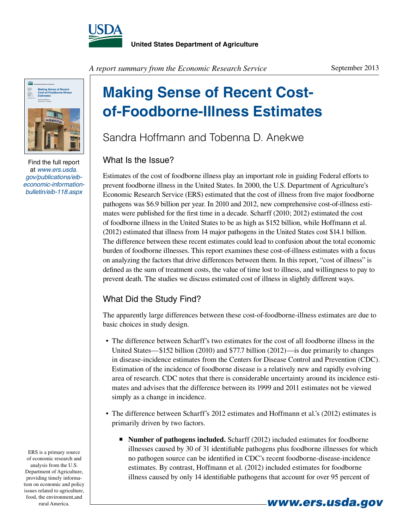



Find the full report at *www.ers.usda. gov/publications/eibeconomic-informationbulletin/eib-118.aspx*

*A report summary from the Economic Research Service*

#### September 2013

# **Making Sense of Recent Costof-Foodborne-Illness Estimates**

Sandra Hoffmann and Tobenna D. Anekwe

### What Is the Issue?

Estimates of the cost of foodborne illness play an important role in guiding Federal efforts to prevent foodborne illness in the United States. In 2000, the U.S. Department of Agriculture's Economic Research Service (ERS) estimated that the cost of illness from five major foodborne pathogens was \$6.9 billion per year. In 2010 and 2012, new comprehensive cost-of-illness estimates were published for the first time in a decade. Scharff (2010; 2012) estimated the cost of foodborne illness in the United States to be as high as \$152 billion, while Hoffmann et al. (2012) estimated that illness from 14 major pathogens in the United States cost \$14.1 billion. The difference between these recent estimates could lead to confusion about the total economic burden of foodborne illnesses. This report examines these cost-of-illness estimates with a focus on analyzing the factors that drive differences between them. In this report, "cost of illness" is defined as the sum of treatment costs, the value of time lost to illness, and willingness to pay to prevent death. The studies we discuss estimated cost of illness in slightly different ways.

### What Did the Study Find?

The apparently large differences between these cost-of-foodborne-illness estimates are due to basic choices in study design.

- The difference between Scharff's two estimates for the cost of all foodborne illness in the United States—\$152 billion (2010) and \$77.7 billion (2012)—is due primarily to changes in disease-incidence estimates from the Centers for Disease Control and Prevention (CDC). Estimation of the incidence of foodborne disease is a relatively new and rapidly evolving area of research. CDC notes that there is considerable uncertainty around its incidence estimates and advises that the difference between its 1999 and 2011 estimates not be viewed simply as a change in incidence.
- The difference between Scharff's 2012 estimates and Hoffmann et al.'s (2012) estimates is primarily driven by two factors.
	- **Number of pathogens included.** Scharff (2012) included estimates for foodborne illnesses caused by 30 of 31 identifiable pathogens plus foodborne illnesses for which no pathogen source can be identified in CDC's recent foodborne-disease-incidence estimates. By contrast, Hoffmann et al. (2012) included estimates for foodborne illness caused by only 14 identifiable pathogens that account for over 95 percent of

ERS is a primary source of economic research and analysis from the U.S. Department of Agriculture, providing timely information on economic and policy issues related to agriculture, food, the environment,and